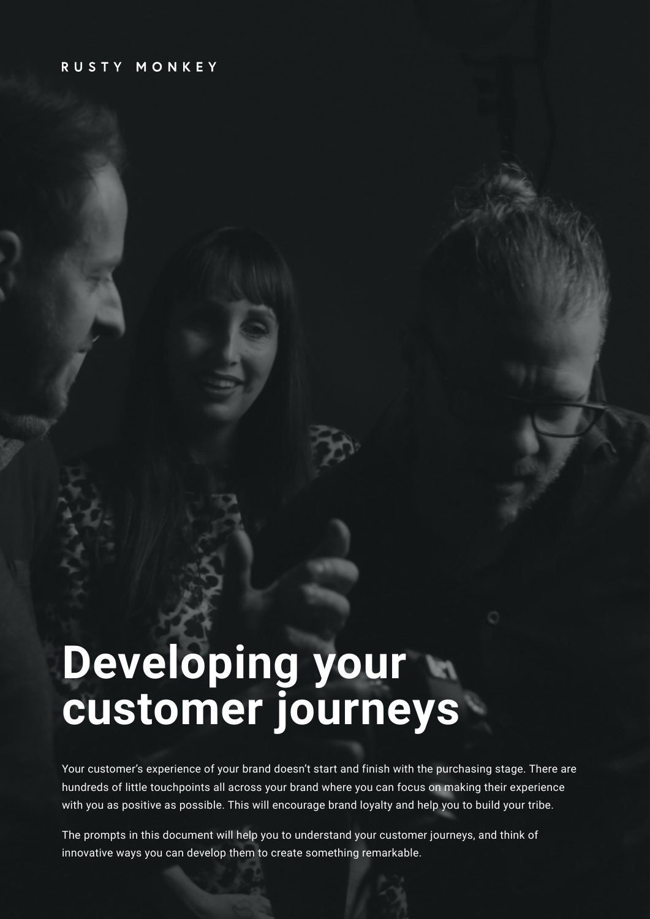#### RUSTY MONKEY

# **Developing your customer journeys**

Your customer's experience of your brand doesn't start and finish with the purchasing stage. There are hundreds of little touchpoints all across your brand where you can focus on making their experience with you as positive as possible. This will encourage brand loyalty and help you to build your tribe.

The prompts in this document will help you to understand your customer journeys, and think of innovative ways you can develop them to create something remarkable.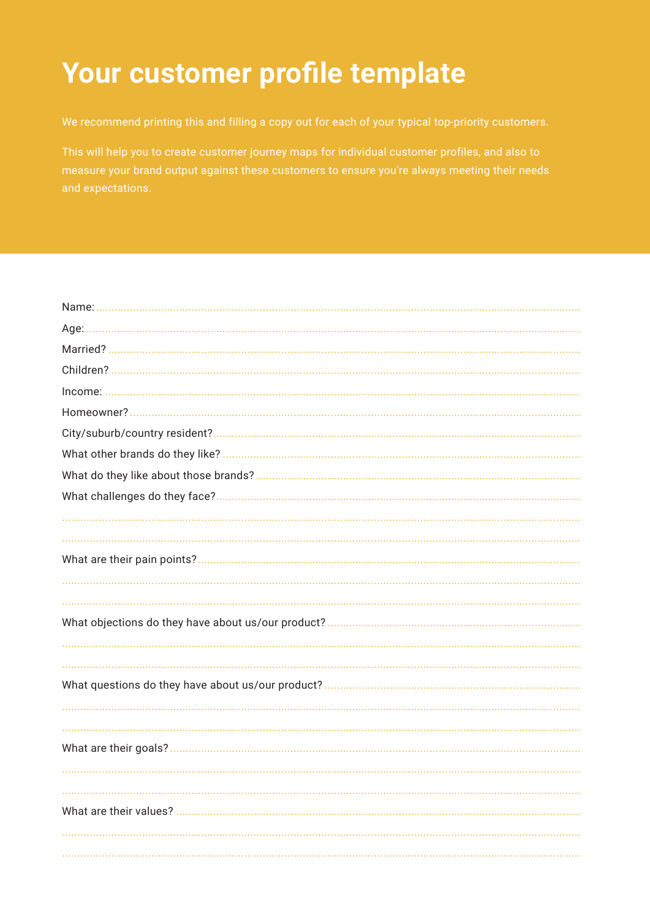#### Your customer profile template

We recommend printing this and filling a copy out for each of your typical top-priority customers.

measure your brand output against these customers to ensure you're always meeting their needs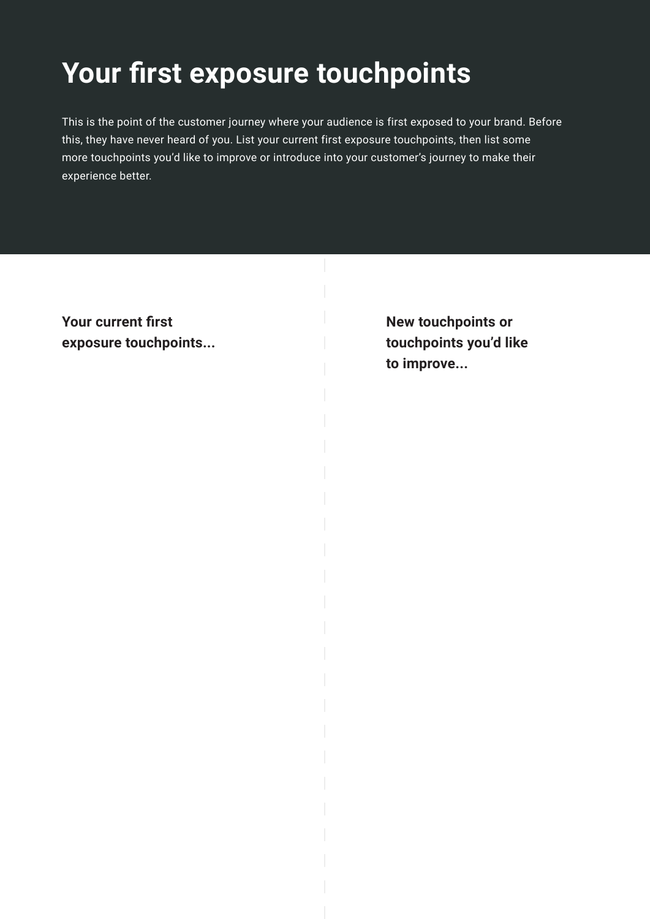#### **Your first exposure touchpoints**

This is the point of the customer journey where your audience is first exposed to your brand. Before this, they have never heard of you. List your current first exposure touchpoints, then list some more touchpoints you'd like to improve or introduce into your customer's journey to make their experience better.

**Your current first exposure touchpoints...** **New touchpoints or touchpoints you'd like to improve...**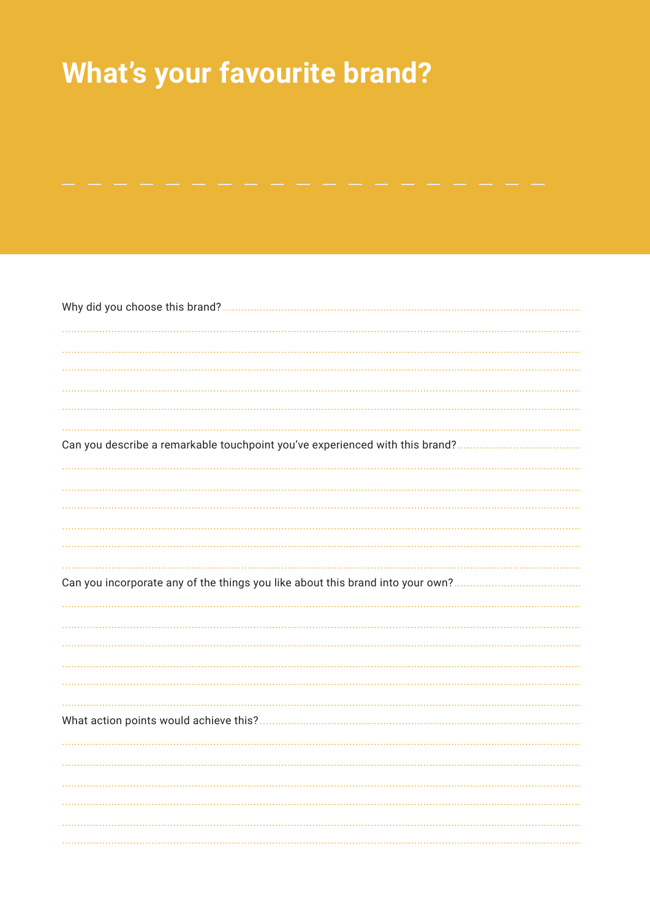## **What's your favourite brand?**

| Can you describe a remarkable touchpoint you've experienced with this brand? |
|------------------------------------------------------------------------------|
|                                                                              |
|                                                                              |
|                                                                              |
|                                                                              |
|                                                                              |
|                                                                              |
|                                                                              |
|                                                                              |
|                                                                              |
|                                                                              |
|                                                                              |
|                                                                              |
|                                                                              |
|                                                                              |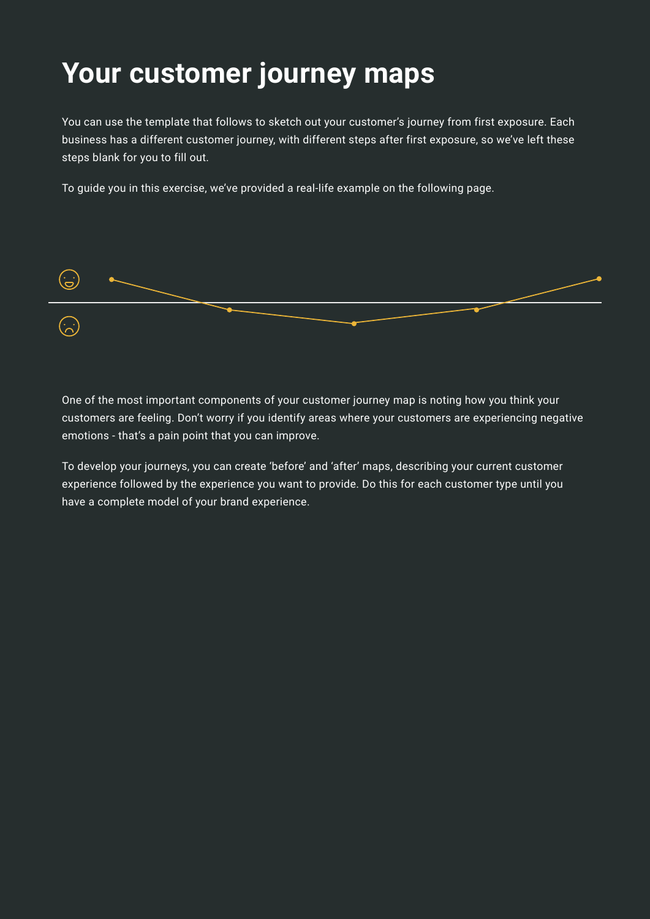### **Your customer journey maps**

You can use the template that follows to sketch out your customer's journey from first exposure. Each business has a different customer journey, with different steps after first exposure, so we've left these steps blank for you to fill out.

To guide you in this exercise, we've provided a real-life example on the following page.



One of the most important components of your customer journey map is noting how you think your customers are feeling. Don't worry if you identify areas where your customers are experiencing negative emotions - that's a pain point that you can improve.

To develop your journeys, you can create 'before' and 'after' maps, describing your current customer experience followed by the experience you want to provide. Do this for each customer type until you have a complete model of your brand experience.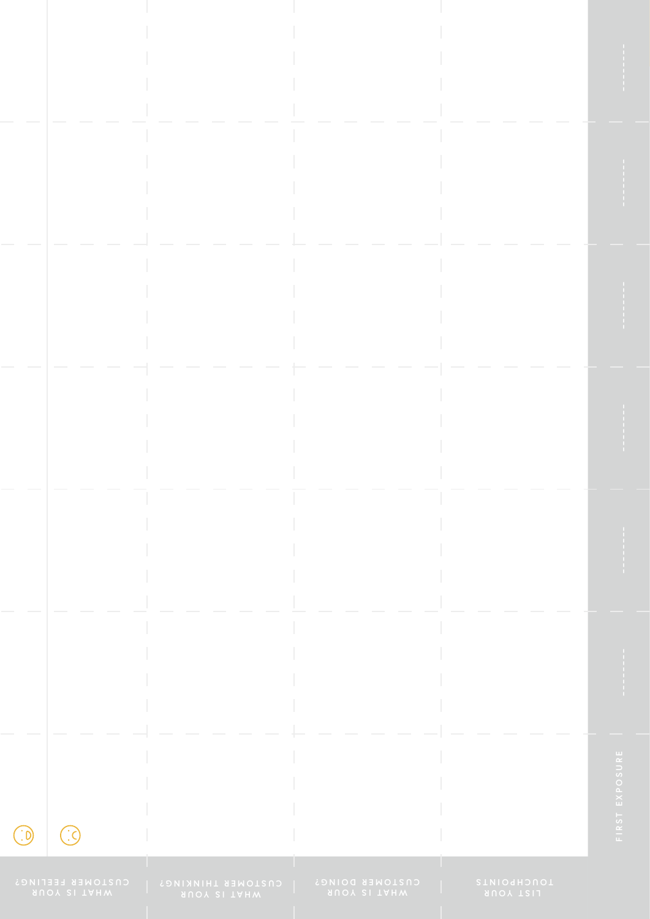**CUSTOMER FEELING?**

 $\bigodot$ 

 $\bigodot$ 

**CUSTOMER THINKING?**

**CUSTOMER DOING?**

**TOUCHPOINTS**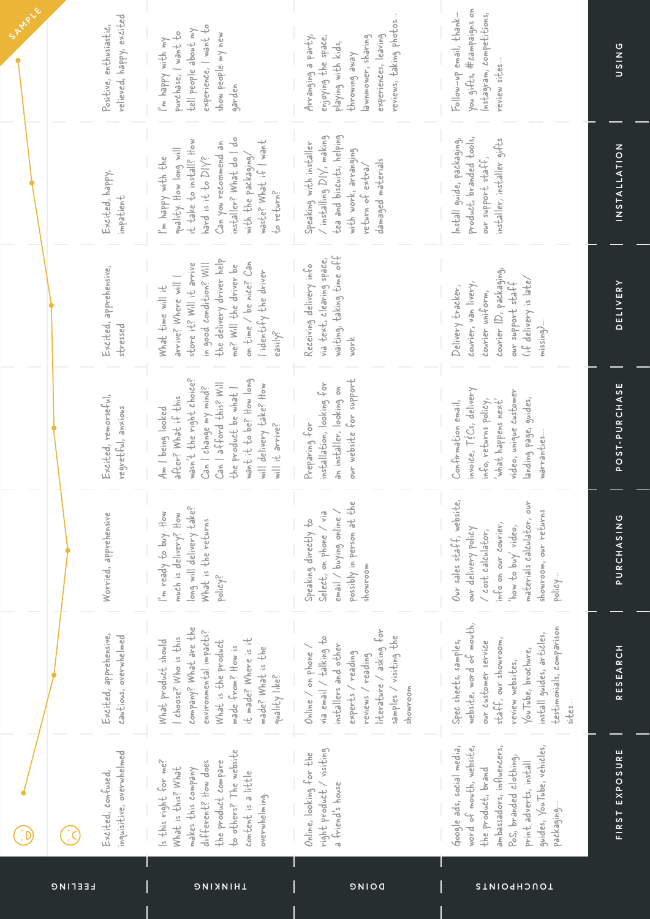| <b>LEETING</b>                                      | HINKING                                                                                                                                                                                                                    | DOING                                                                                                                                                                            | STMIOGH2UOT                                                                                                                                                                                                  |                     |
|-----------------------------------------------------|----------------------------------------------------------------------------------------------------------------------------------------------------------------------------------------------------------------------------|----------------------------------------------------------------------------------------------------------------------------------------------------------------------------------|--------------------------------------------------------------------------------------------------------------------------------------------------------------------------------------------------------------|---------------------|
| inquisitive, overwhelmed<br>Excited, confused,      | to others? The website<br>Is this right for me?<br>different? How does<br>the product compare<br>What is this? What<br>makes this company<br>content is a little<br>overwhelming.                                          | right product / visiting<br>Online, looking for the<br>a friend's house                                                                                                          | Google ads, social media,<br>guides, YouTube, vehicles,<br>ambassadors, influencers,<br>word of mouth, website,<br>Pos, branded clothing,<br>print adverts, install<br>the product, brand<br>packaging       | FIRST EXPOSURE      |
| Excited, apprehensive,<br>cautious, overwhelmed     | company? What are the<br>environmental impacts?<br>choose? Who is this<br>it made? Where is it<br>What product should<br>What is the product<br>made from? How is<br>made? What is the<br>quality like?                    | literature / asking for<br>samples / visiting the<br>via email / talking to<br>installers and other<br>Online / on phone /<br>experts / reading<br>reviews / reading<br>showroom | website, word of mouth,<br>testimonials, comparison<br>install guides, articles,<br>staff, our showroom,<br>Spec sheets, samples,<br>our customer service<br>YouTube, brochure,<br>review websites,<br>sites | RESEARCH            |
| Worried, apprehensive                               | long will delivery take?<br>I'm ready to buy. How<br>much is delivery? How<br>What is the returns<br>policy?                                                                                                               | possibly in person at the<br>Select, on phone / via<br>email / buying online /<br>Speaking directly to<br>showroom                                                               | Our sales staff, website,<br>materials calculator, our<br>showroom, our returns<br>info on our courier,<br>'how to buy' video,<br>our delivery policy<br>/ cost calculator,<br>policy                        | PURCHASING          |
| Excited, remorseful,<br>regretful, anxious          | wasn't the right choice?<br>want it to be? How long<br>Can   afford this? Will<br>will delivery take? How<br>the product be what  <br>Can I change my mind?<br>after? What if this<br>Am I being looked<br>will it arrive? | our website for support<br>installation, looking for<br>an installer, looking on<br>Preparing for                                                                                | nvoice, $T \notin \text{Cs}$ , delivery<br>video, unique customer<br>landing page, guides,<br>what happens next'<br>info, returns policy,<br>Confirmation email,<br>warranties                               | POST-PURCHASE       |
| Excited, apprehensive,<br>stressed                  | the delivery driver help<br>on time / be nice? Can<br>store it? Will it arrive<br>in good condition? Will<br>me? Will the driver be<br>lidentify the driver<br>arrive? Where will  <br>What time will it<br>easily?        | waiting, taking time off<br>via text, clearing space,<br>Receiving delivery info<br>work                                                                                         | courier ID, packaging,<br>$(i.f.$ delivery is late/<br>courier, van livery,<br>aur support staff<br>Delivery tracker,<br>courier uniform,<br>$m$ issing)                                                     | <b>DELIVERY</b>     |
| Excited, happy,<br>impatient                        | installer? What do   do<br>it take to install? How<br>waste? What if I want<br>Can you recommend an<br>quality. How long will<br>with the packaging/<br>hard is it to DIY?<br>I'm happy with the<br>to return?             | tea and biscuits, helping<br>$\prime$ installing $D V$ , making<br>Speaking with installer<br>with work, arranging<br>damaged materials<br>return of extral                      | product, branded tools,<br>Install guide, packaging,<br>installer, installer gifts<br>our support staff,                                                                                                     | <b>INSTALLATION</b> |
| relieved, happy, excited<br>Positive, enthusiastic, | experience, I want to<br>tell people about my<br>purchase, I want to<br>show people my new<br>I'm happy with my<br>garden                                                                                                  | reviews, taking photos<br>experiences, leaving<br>Arranging a party,<br>enjoying the space,<br>lawnmower, sharing<br>playing with kids,<br>throwing away                         | you gifts, #campaigns on<br>Follow-up email, thank-<br>Instagram, competitions,<br>review sites                                                                                                              | <b>USINS</b>        |

 $\bigodot$ 

**SAMPLE**